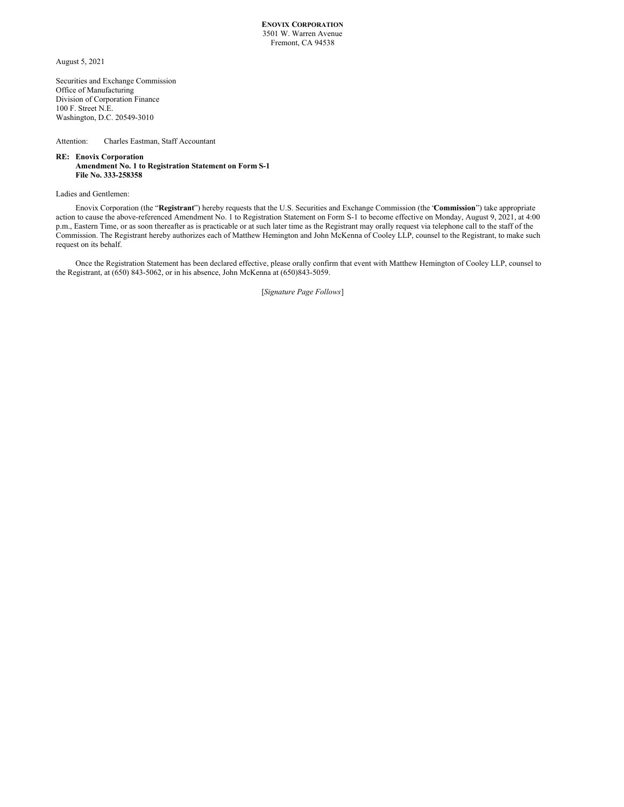August 5, 2021

Securities and Exchange Commission Office of Manufacturing Division of Corporation Finance 100 F. Street N.E. Washington, D.C. 20549-3010

Attention: Charles Eastman, Staff Accountant

## **RE: Enovix Corporation Amendment No. 1 to Registration Statement on Form S-1 File No. 333-258358**

Ladies and Gentlemen:

Enovix Corporation (the "**Registrant**") hereby requests that the U.S. Securities and Exchange Commission (the "**Commission**") take appropriate action to cause the above-referenced Amendment No. 1 to Registration Statement on Form S-1 to become effective on Monday, August 9, 2021, at 4:00 p.m., Eastern Time, or as soon thereafter as is practicable or at such later time as the Registrant may orally request via telephone call to the staff of the Commission. The Registrant hereby authorizes each of Matthew Hemington and John McKenna of Cooley LLP, counsel to the Registrant, to make such request on its behalf.

Once the Registration Statement has been declared effective, please orally confirm that event with Matthew Hemington of Cooley LLP, counsel to the Registrant, at (650) 843-5062, or in his absence, John McKenna at (650)843-5059.

[*Signature Page Follows*]